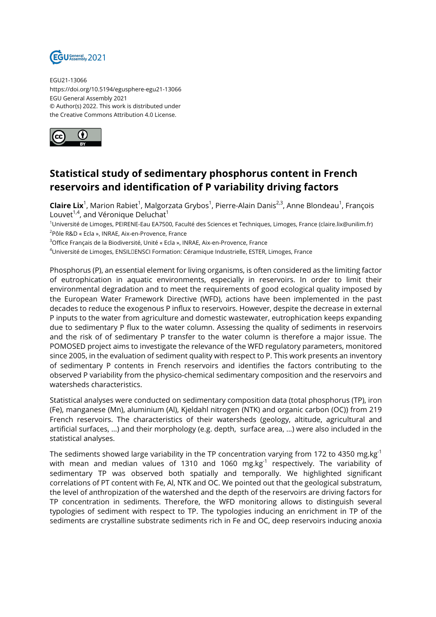

EGU21-13066 https://doi.org/10.5194/egusphere-egu21-13066 EGU General Assembly 2021 © Author(s) 2022. This work is distributed under the Creative Commons Attribution 4.0 License.



## **Statistical study of sedimentary phosphorus content in French reservoirs and identification of P variability driving factors**

**Claire Lix**<sup>1</sup>, Marion Rabiet<sup>1</sup>, Malgorzata Grybos<sup>1</sup>, Pierre-Alain Danis<sup>2,3</sup>, Anne Blondeau<sup>1</sup>, François Louvet<sup>1,4</sup>, and Véronique Deluchat<sup>1</sup>

<sup>1</sup>Université de Limoges, PEIRENE-Eau EA7500, Faculté des Sciences et Techniques, Limoges, France (claire.lix@unilim.fr) <sup>2</sup>Pôle R&D « Ecla », INRAE, Aix-en-Provence, France

<sup>3</sup>Office Français de la Biodiversité, Unité « Ecla », INRAE, Aix-en-Provence, France

<sup>4</sup>Université de Limoges, ENSIL DENSCI Formation: Céramique Industrielle, ESTER, Limoges, France

Phosphorus (P), an essential element for living organisms, is often considered as the limiting factor of eutrophication in aquatic environments, especially in reservoirs. In order to limit their environmental degradation and to meet the requirements of good ecological quality imposed by the European Water Framework Directive (WFD), actions have been implemented in the past decades to reduce the exogenous P influx to reservoirs. However, despite the decrease in external P inputs to the water from agriculture and domestic wastewater, eutrophication keeps expanding due to sedimentary P flux to the water column. Assessing the quality of sediments in reservoirs and the risk of of sedimentary P transfer to the water column is therefore a major issue. The POMOSED project aims to investigate the relevance of the WFD regulatory parameters, monitored since 2005, in the evaluation of sediment quality with respect to P. This work presents an inventory of sedimentary P contents in French reservoirs and identifies the factors contributing to the observed P variability from the physico-chemical sedimentary composition and the reservoirs and watersheds characteristics.

Statistical analyses were conducted on sedimentary composition data (total phosphorus (TP), iron (Fe), manganese (Mn), aluminium (Al), Kjeldahl nitrogen (NTK) and organic carbon (OC)) from 219 French reservoirs. The characteristics of their watersheds (geology, altitude, agricultural and artificial surfaces, …) and their morphology (e.g. depth, surface area, …) were also included in the statistical analyses.

The sediments showed large variability in the TP concentration varying from 172 to 4350 mg.kg<sup>-1</sup> with mean and median values of 1310 and 1060 mg.kg $^{-1}$  respectively. The variability of sedimentary TP was observed both spatially and temporally. We highlighted significant correlations of PT content with Fe, Al, NTK and OC. We pointed out that the geological substratum, the level of anthropization of the watershed and the depth of the reservoirs are driving factors for TP concentration in sediments. Therefore, the WFD monitoring allows to distinguish several typologies of sediment with respect to TP. The typologies inducing an enrichment in TP of the sediments are crystalline substrate sediments rich in Fe and OC, deep reservoirs inducing anoxia